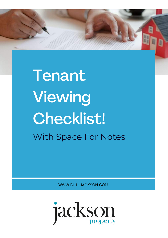

'ith Space For Notes WORKSHOP **Tenant Viewing** Checklist! With Space For Notes

WWW.BILL-JACKSON.COM

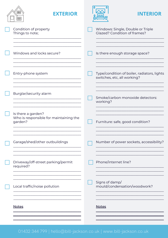| ᆂ<br><b>EXTERIOR</b>                                                    | <b>INTERIOR</b>                                                            |
|-------------------------------------------------------------------------|----------------------------------------------------------------------------|
| Condition of property<br>Things to note;                                | Windows: Single, Double or Triple<br>Glazed? Condition of frames?          |
| Windows and locks secure?                                               | Is there enough storage space?                                             |
| Entry-phone system                                                      | Type/condition of boiler, radiators, lights<br>switches, etc, all working? |
| Burglar/security alarm                                                  | Smoke/carbon monoxide detectors:<br>working?                               |
| Is there a garden?<br>Who is responsible for maintaining the<br>garden? | Furniture: safe, good condition?                                           |
| Garage/shed/other outbuildings                                          | Number of power sockets, accessibility?                                    |
| Driveway/off-street parking/permit<br>required?                         | Phone/internet line?                                                       |
| Local traffic/noise pollution                                           | Signs of damp/<br>mould/condensation/woodwork?                             |
| <b>Notes</b>                                                            | <b>Notes</b>                                                               |
|                                                                         |                                                                            |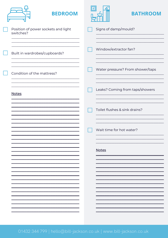| <b>BEDROOM</b>                                   | <b>BATHROOM</b>                  |
|--------------------------------------------------|----------------------------------|
| Position of power sockets and light<br>switches? | Signs of damp/mould?             |
| Built in wardrobes/cupboards?                    | Window/extractor fan?            |
| Condition of the mattress?                       | Water pressure? From shower/taps |
| <b>Notes</b>                                     | Leaks? Coming from taps/showers  |
|                                                  | Toilet flushes & sink drains?    |
|                                                  | Wait time for hot water?         |
|                                                  | <b>Notes</b>                     |
|                                                  |                                  |
|                                                  |                                  |
|                                                  |                                  |